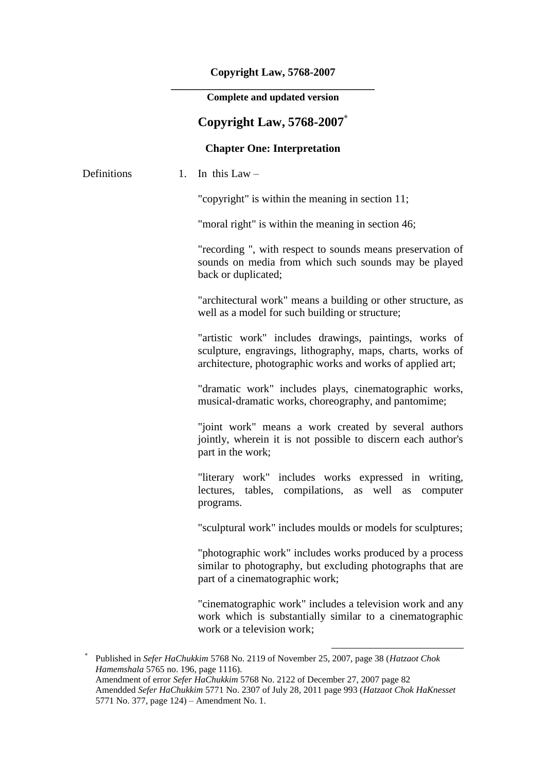#### **Copyright Law, 5768-2007**

#### **\_\_\_\_\_\_\_\_\_\_\_\_\_\_\_\_\_\_\_\_\_\_\_\_\_\_\_\_\_\_\_\_\_\_\_\_\_ Complete and updated version**

## **Copyright Law, 5768-2007\***

#### **Chapter One: Interpretation**

Definitions 1. In this  $Law -$ "copyright" is within the meaning in section 11; "moral right" is within the meaning in section 46; "recording ", with respect to sounds means preservation of sounds on media from which such sounds may be played back or duplicated; "architectural work" means a building or other structure, as well as a model for such building or structure; "artistic work" includes drawings, paintings, works of sculpture, engravings, lithography, maps, charts, works of architecture, photographic works and works of applied art; "dramatic work" includes plays, cinematographic works, musical-dramatic works, choreography, and pantomime; "joint work" means a work created by several authors jointly, wherein it is not possible to discern each author's part in the work; "literary work" includes works expressed in writing, lectures, tables, compilations, as well as computer programs. "sculptural work" includes moulds or models for sculptures; "photographic work" includes works produced by a process similar to photography, but excluding photographs that are part of a cinematographic work; "cinematographic work" includes a television work and any work which is substantially similar to a cinematographic work or a television work; <u>.</u>

\* Published in *Sefer HaChukkim* 5768 No. 2119 of November 25, 2007, page 38 (*Hatzaot Chok Hamemshala* 5765 no. 196, page 1116). Amendment of error *Sefer HaChukkim* 5768 No. 2122 of December 27, 2007 page 82 Amendded *Sefer HaChukkim* 5771 No. 2307 of July 28, 2011 page 993 (*Hatzaot Chok HaKnesset* 5771 No. 377, page 124) – Amendment No. 1.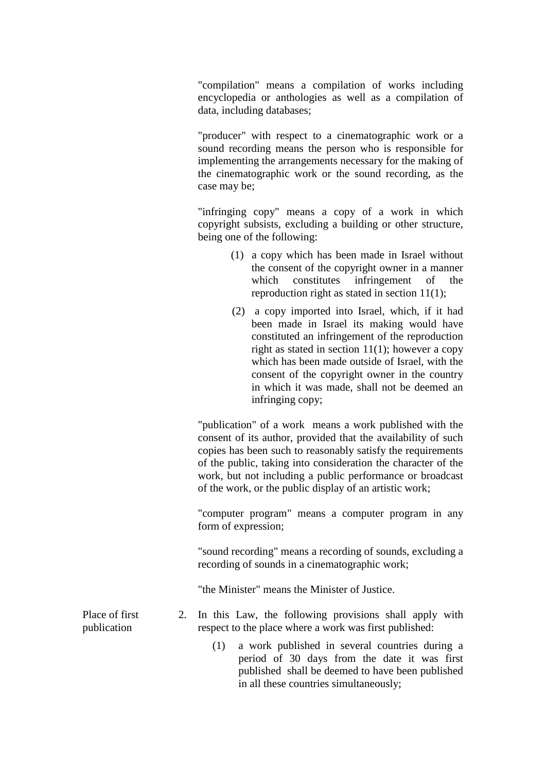"compilation" means a compilation of works including encyclopedia or anthologies as well as a compilation of data, including databases;

"producer" with respect to a cinematographic work or a sound recording means the person who is responsible for implementing the arrangements necessary for the making of the cinematographic work or the sound recording, as the case may be;

"infringing copy" means a copy of a work in which copyright subsists, excluding a building or other structure, being one of the following:

- (1) a copy which has been made in Israel without the consent of the copyright owner in a manner which constitutes infringement of the reproduction right as stated in section 11(1);
- (2) a copy imported into Israel, which, if it had been made in Israel its making would have constituted an infringement of the reproduction right as stated in section  $11(1)$ ; however a copy which has been made outside of Israel, with the consent of the copyright owner in the country in which it was made, shall not be deemed an infringing copy;

"publication" of a work means a work published with the consent of its author, provided that the availability of such copies has been such to reasonably satisfy the requirements of the public, taking into consideration the character of the work, but not including a public performance or broadcast of the work, or the public display of an artistic work;

"computer program" means a computer program in any form of expression;

"sound recording" means a recording of sounds, excluding a recording of sounds in a cinematographic work;

"the Minister" means the Minister of Justice.

- 2. In this Law, the following provisions shall apply with respect to the place where a work was first published:
	- (1) a work published in several countries during a period of 30 days from the date it was first published shall be deemed to have been published in all these countries simultaneously;

Place of first publication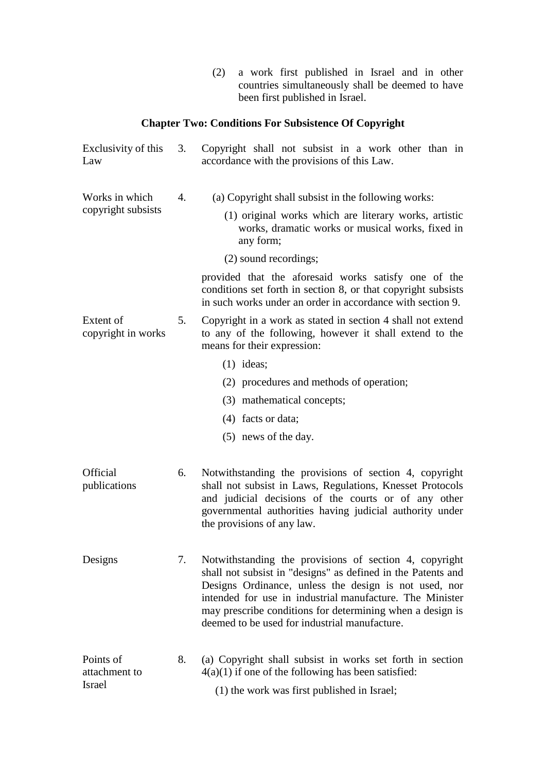(2) a work first published in Israel and in other countries simultaneously shall be deemed to have been first published in Israel.

# **Chapter Two: Conditions For Subsistence Of Copyright**

| Exclusivity of this<br>Law           | 3. | Copyright shall not subsist in a work other than in<br>accordance with the provisions of this Law.                                                                                                                                                                                                                                                        |
|--------------------------------------|----|-----------------------------------------------------------------------------------------------------------------------------------------------------------------------------------------------------------------------------------------------------------------------------------------------------------------------------------------------------------|
| Works in which<br>copyright subsists | 4. | (a) Copyright shall subsist in the following works:                                                                                                                                                                                                                                                                                                       |
|                                      |    | (1) original works which are literary works, artistic<br>works, dramatic works or musical works, fixed in<br>any form;                                                                                                                                                                                                                                    |
|                                      |    | (2) sound recordings;                                                                                                                                                                                                                                                                                                                                     |
|                                      |    | provided that the aforesaid works satisfy one of the<br>conditions set forth in section 8, or that copyright subsists<br>in such works under an order in accordance with section 9.                                                                                                                                                                       |
| Extent of<br>copyright in works      | 5. | Copyright in a work as stated in section 4 shall not extend<br>to any of the following, however it shall extend to the<br>means for their expression:                                                                                                                                                                                                     |
|                                      |    | $(1)$ ideas;                                                                                                                                                                                                                                                                                                                                              |
|                                      |    | (2) procedures and methods of operation;                                                                                                                                                                                                                                                                                                                  |
|                                      |    | (3) mathematical concepts;                                                                                                                                                                                                                                                                                                                                |
|                                      |    | $(4)$ facts or data;                                                                                                                                                                                                                                                                                                                                      |
|                                      |    | $(5)$ news of the day.                                                                                                                                                                                                                                                                                                                                    |
| Official<br>publications             | 6. | Notwithstanding the provisions of section 4, copyright<br>shall not subsist in Laws, Regulations, Knesset Protocols<br>and judicial decisions of the courts or of any other<br>governmental authorities having judicial authority under<br>the provisions of any law.                                                                                     |
| Designs                              | 7. | Notwithstanding the provisions of section 4, copyright<br>shall not subsist in "designs" as defined in the Patents and<br>Designs Ordinance, unless the design is not used, nor<br>intended for use in industrial manufacture. The Minister<br>may prescribe conditions for determining when a design is<br>deemed to be used for industrial manufacture. |
| Points of<br>attachment to<br>Israel | 8. | (a) Copyright shall subsist in works set forth in section<br>$4(a)(1)$ if one of the following has been satisfied:<br>(1) the work was first published in Israel;                                                                                                                                                                                         |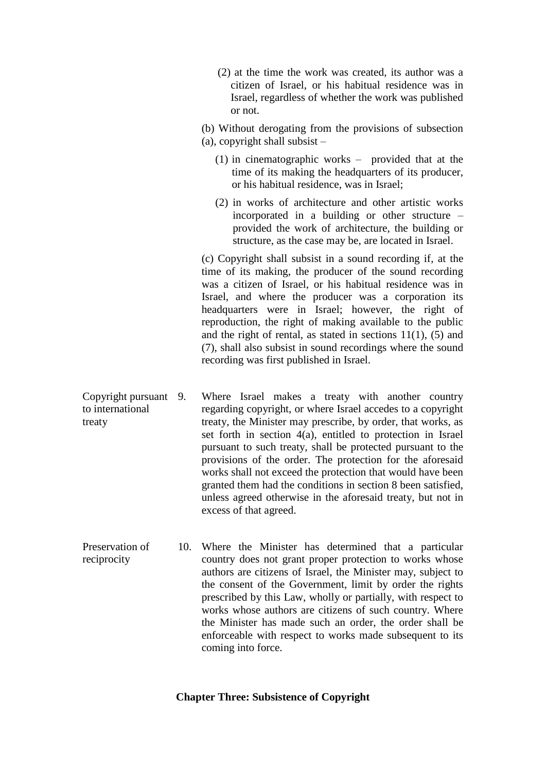- (2) at the time the work was created, its author was a citizen of Israel, or his habitual residence was in Israel, regardless of whether the work was published or not.
- (b) Without derogating from the provisions of subsection (a), copyright shall subsist –
	- (1) in cinematographic works provided that at the time of its making the headquarters of its producer, or his habitual residence, was in Israel;
	- (2) in works of architecture and other artistic works incorporated in a building or other structure – provided the work of architecture, the building or structure, as the case may be, are located in Israel.

(c) Copyright shall subsist in a sound recording if, at the time of its making, the producer of the sound recording was a citizen of Israel, or his habitual residence was in Israel, and where the producer was a corporation its headquarters were in Israel; however, the right of reproduction, the right of making available to the public and the right of rental, as stated in sections  $11(1)$ ,  $(5)$  and (7), shall also subsist in sound recordings where the sound recording was first published in Israel.

- Copyright pursuant 9. to international treaty Where Israel makes a treaty with another country regarding copyright, or where Israel accedes to a copyright treaty, the Minister may prescribe, by order, that works, as set forth in section 4(a), entitled to protection in Israel pursuant to such treaty, shall be protected pursuant to the provisions of the order. The protection for the aforesaid works shall not exceed the protection that would have been granted them had the conditions in section 8 been satisfied, unless agreed otherwise in the aforesaid treaty, but not in excess of that agreed.
- Preservation of reciprocity 10. Where the Minister has determined that a particular country does not grant proper protection to works whose authors are citizens of Israel, the Minister may, subject to the consent of the Government, limit by order the rights prescribed by this Law, wholly or partially, with respect to works whose authors are citizens of such country. Where the Minister has made such an order, the order shall be enforceable with respect to works made subsequent to its coming into force.

#### **Chapter Three: Subsistence of Copyright**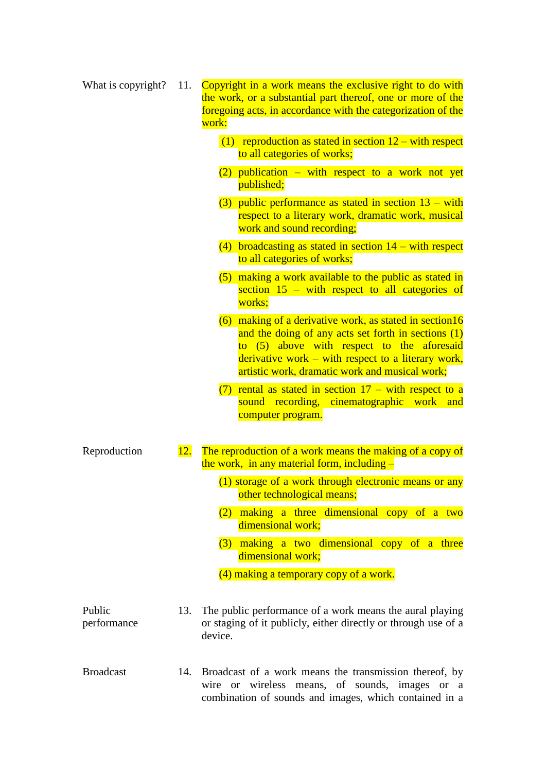| What is copyright?    | 11.        | Copyright in a work means the exclusive right to do with<br>the work, or a substantial part thereof, one or more of the<br>foregoing acts, in accordance with the categorization of the<br>work:                                                                          |
|-----------------------|------------|---------------------------------------------------------------------------------------------------------------------------------------------------------------------------------------------------------------------------------------------------------------------------|
|                       |            | $(1)$ reproduction as stated in section $12$ – with respect<br>to all categories of works;                                                                                                                                                                                |
|                       |            | $(2)$ publication – with respect to a work not yet<br>published;                                                                                                                                                                                                          |
|                       |            | $(3)$ public performance as stated in section $13 - \text{with}$<br>respect to a literary work, dramatic work, musical<br>work and sound recording;                                                                                                                       |
|                       |            | $(4)$ broadcasting as stated in section $14 -$ with respect<br>to all categories of works;                                                                                                                                                                                |
|                       |            | (5) making a work available to the public as stated in<br>section $15$ – with respect to all categories of<br>works;                                                                                                                                                      |
|                       |            | $(6)$ making of a derivative work, as stated in section 16<br>and the doing of any acts set forth in sections (1)<br>to (5) above with respect to the aforesaid<br>derivative work $-$ with respect to a literary work,<br>artistic work, dramatic work and musical work; |
|                       |            | (7) rental as stated in section $17 -$ with respect to a<br>sound recording, cinematographic work and<br>computer program.                                                                                                                                                |
| Reproduction          | <u>12.</u> | The reproduction of a work means the making of a copy of<br>the work, in any material form, including $-$                                                                                                                                                                 |
|                       |            | (1) storage of a work through electronic means or any<br>other technological means;                                                                                                                                                                                       |
|                       |            | (2) making a three dimensional copy of a two<br>dimensional work;                                                                                                                                                                                                         |
|                       |            | (3) making a two dimensional copy of a three<br>dimensional work;                                                                                                                                                                                                         |
|                       |            | (4) making a temporary copy of a work.                                                                                                                                                                                                                                    |
| Public<br>performance | 13.        | The public performance of a work means the aural playing<br>or staging of it publicly, either directly or through use of a<br>device.                                                                                                                                     |
| <b>Broadcast</b>      | 14.        | Broadcast of a work means the transmission thereof, by<br>wire or wireless means, of sounds, images or a<br>combination of sounds and images, which contained in a                                                                                                        |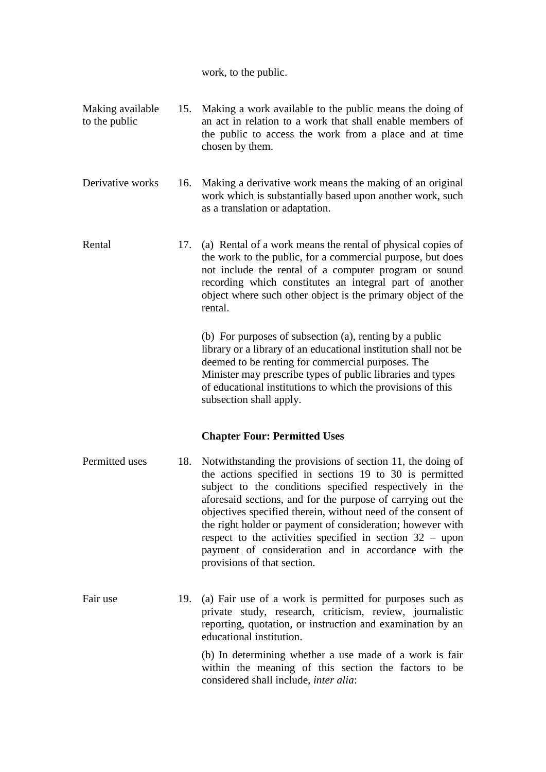work, to the public.

- Making available to the public 15. Making a work available to the public means the doing of an act in relation to a work that shall enable members of the public to access the work from a place and at time chosen by them.
- Derivative works 16. Making a derivative work means the making of an original work which is substantially based upon another work, such as a translation or adaptation.
- Rental 17. (a) Rental of a work means the rental of physical copies of the work to the public, for a commercial purpose, but does not include the rental of a computer program or sound recording which constitutes an integral part of another object where such other object is the primary object of the rental.

(b) For purposes of subsection (a), renting by a public library or a library of an educational institution shall not be deemed to be renting for commercial purposes. The Minister may prescribe types of public libraries and types of educational institutions to which the provisions of this subsection shall apply.

### **Chapter Four: Permitted Uses**

- Permitted uses 18. Notwithstanding the provisions of section 11, the doing of the actions specified in sections 19 to 30 is permitted subject to the conditions specified respectively in the aforesaid sections, and for the purpose of carrying out the objectives specified therein, without need of the consent of the right holder or payment of consideration; however with respect to the activities specified in section 32 – upon payment of consideration and in accordance with the provisions of that section.
- Fair use 19. (a) Fair use of a work is permitted for purposes such as private study, research, criticism, review, journalistic reporting, quotation, or instruction and examination by an educational institution. (b) In determining whether a use made of a work is fair within the meaning of this section the factors to be

considered shall include, *inter alia*: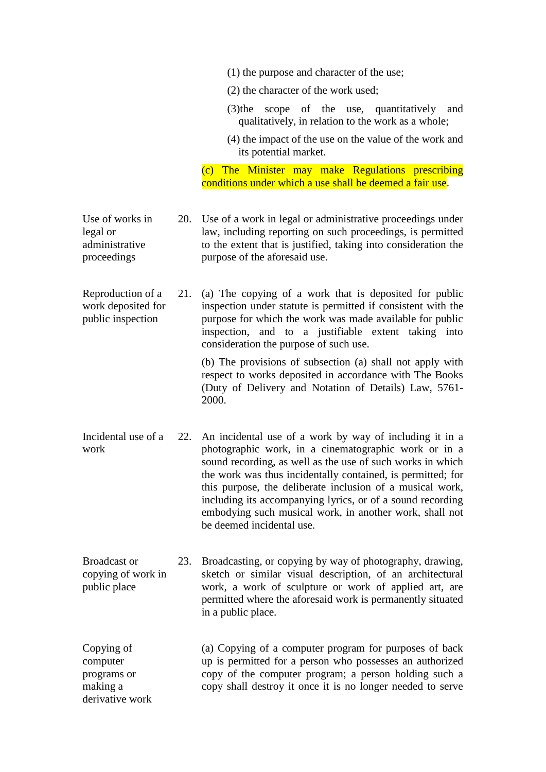- (1) the purpose and character of the use;
- (2) the character of the work used;
- (3)the scope of the use, quantitatively and qualitatively, in relation to the work as a whole;
- (4) the impact of the use on the value of the work and its potential market.

(c) The Minister may make Regulations prescribing conditions under which a use shall be deemed a fair use.

- Use of works in legal or administrative proceedings 20. Use of a work in legal or administrative proceedings under law, including reporting on such proceedings, is permitted to the extent that is justified, taking into consideration the purpose of the aforesaid use.
- Reproduction of a work deposited for public inspection 21. (a) The copying of a work that is deposited for public inspection under statute is permitted if consistent with the purpose for which the work was made available for public inspection, and to a justifiable extent taking into consideration the purpose of such use.

(b) The provisions of subsection (a) shall not apply with respect to works deposited in accordance with The Books (Duty of Delivery and Notation of Details) Law, 5761- 2000.

- Incidental use of a work 22. An incidental use of a work by way of including it in a photographic work, in a cinematographic work or in a sound recording, as well as the use of such works in which the work was thus incidentally contained, is permitted; for this purpose, the deliberate inclusion of a musical work, including its accompanying lyrics, or of a sound recording embodying such musical work, in another work, shall not be deemed incidental use.
- Broadcast or copying of work in public place 23. Broadcasting, or copying by way of photography, drawing, sketch or similar visual description, of an architectural work, a work of sculpture or work of applied art, are permitted where the aforesaid work is permanently situated in a public place.

Copying of computer programs or making a derivative work

(a) Copying of a computer program for purposes of back up is permitted for a person who possesses an authorized copy of the computer program; a person holding such a copy shall destroy it once it is no longer needed to serve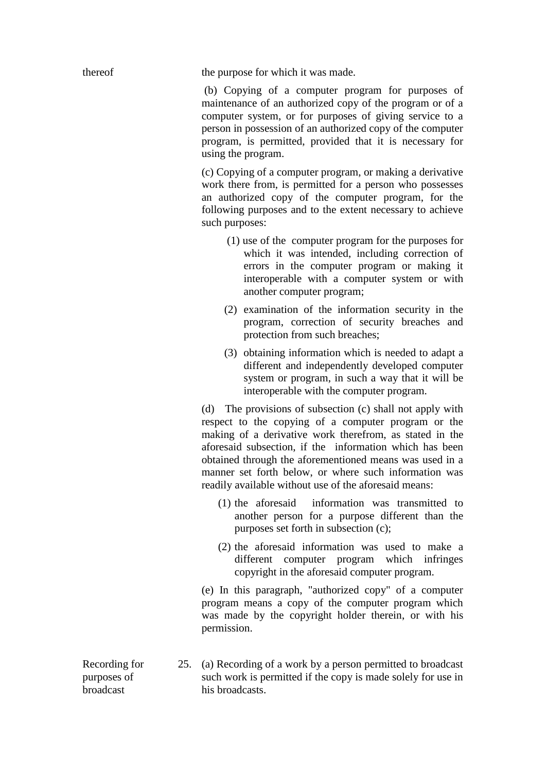thereof the purpose for which it was made.

(b) Copying of a computer program for purposes of maintenance of an authorized copy of the program or of a computer system, or for purposes of giving service to a person in possession of an authorized copy of the computer program, is permitted, provided that it is necessary for using the program.

(c) Copying of a computer program, or making a derivative work there from, is permitted for a person who possesses an authorized copy of the computer program, for the following purposes and to the extent necessary to achieve such purposes:

- (1) use of the computer program for the purposes for which it was intended, including correction of errors in the computer program or making it interoperable with a computer system or with another computer program;
- (2) examination of the information security in the program, correction of security breaches and protection from such breaches;
- (3) obtaining information which is needed to adapt a different and independently developed computer system or program, in such a way that it will be interoperable with the computer program.

(d) The provisions of subsection (c) shall not apply with respect to the copying of a computer program or the making of a derivative work therefrom, as stated in the aforesaid subsection, if the information which has been obtained through the aforementioned means was used in a manner set forth below, or where such information was readily available without use of the aforesaid means:

- (1) the aforesaid information was transmitted to another person for a purpose different than the purposes set forth in subsection (c);
- (2) the aforesaid information was used to make a different computer program which infringes copyright in the aforesaid computer program.

(e) In this paragraph, "authorized copy" of a computer program means a copy of the computer program which was made by the copyright holder therein, or with his permission.

Recording for purposes of broadcast

25. (a) Recording of a work by a person permitted to broadcast such work is permitted if the copy is made solely for use in his broadcasts.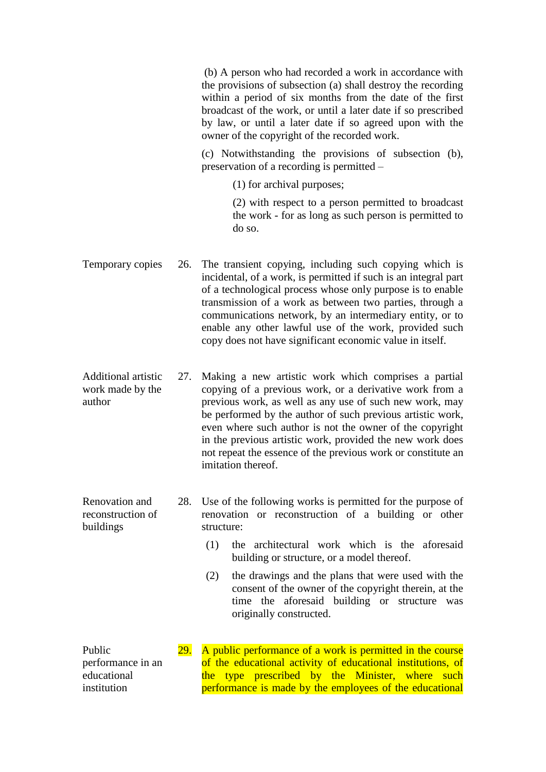(b) A person who had recorded a work in accordance with the provisions of subsection (a) shall destroy the recording within a period of six months from the date of the first broadcast of the work, or until a later date if so prescribed by law, or until a later date if so agreed upon with the owner of the copyright of the recorded work.

(c) Notwithstanding the provisions of subsection (b), preservation of a recording is permitted –

(1) for archival purposes;

(2) with respect to a person permitted to broadcast the work - for as long as such person is permitted to do so.

- Temporary copies 26. The transient copying, including such copying which is incidental, of a work, is permitted if such is an integral part of a technological process whose only purpose is to enable transmission of a work as between two parties, through a communications network, by an intermediary entity, or to enable any other lawful use of the work, provided such copy does not have significant economic value in itself.
- Additional artistic work made by the author 27. Making a new artistic work which comprises a partial copying of a previous work, or a derivative work from a previous work, as well as any use of such new work, may be performed by the author of such previous artistic work, even where such author is not the owner of the copyright in the previous artistic work, provided the new work does not repeat the essence of the previous work or constitute an imitation thereof.
- Renovation and reconstruction of buildings 28. Use of the following works is permitted for the purpose of renovation or reconstruction of a building or other structure:
	- (1) the architectural work which is the aforesaid building or structure, or a model thereof.
	- (2) the drawings and the plans that were used with the consent of the owner of the copyright therein, at the time the aforesaid building or structure was originally constructed.
- Public performance in an educational institution 29. A public performance of a work is permitted in the course of the educational activity of educational institutions, of the type prescribed by the Minister, where such performance is made by the employees of the educational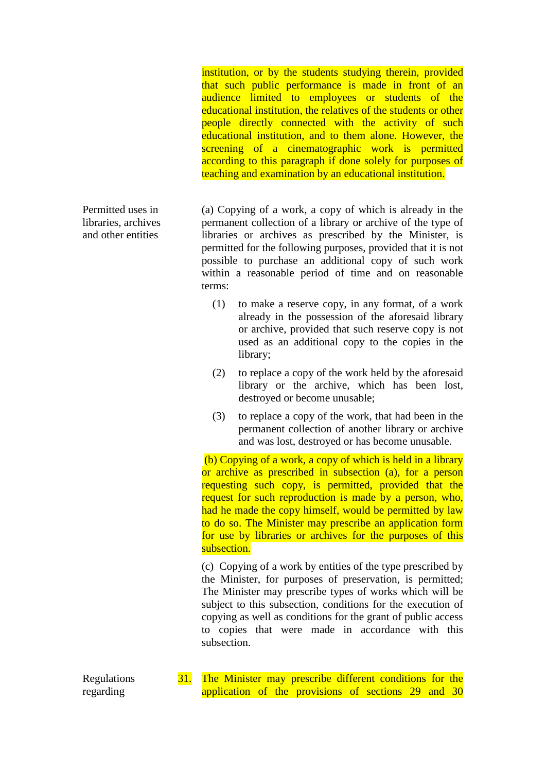institution, or by the students studying therein, provided that such public performance is made in front of an audience limited to employees or students of the educational institution, the relatives of the students or other people directly connected with the activity of such educational institution, and to them alone. However, the screening of a cinematographic work is permitted according to this paragraph if done solely for purposes of teaching and examination by an educational institution.

(a) Copying of a work, a copy of which is already in the permanent collection of a library or archive of the type of libraries or archives as prescribed by the Minister, is permitted for the following purposes, provided that it is not possible to purchase an additional copy of such work within a reasonable period of time and on reasonable terms:

- (1) to make a reserve copy, in any format, of a work already in the possession of the aforesaid library or archive, provided that such reserve copy is not used as an additional copy to the copies in the library;
- (2) to replace a copy of the work held by the aforesaid library or the archive, which has been lost, destroyed or become unusable;
- (3) to replace a copy of the work, that had been in the permanent collection of another library or archive and was lost, destroyed or has become unusable.

(b) Copying of a work, a copy of which is held in a library or archive as prescribed in subsection (a), for a person requesting such copy, is permitted, provided that the request for such reproduction is made by a person, who, had he made the copy himself, would be permitted by law to do so. The Minister may prescribe an application form for use by libraries or archives for the purposes of this subsection.

(c) Copying of a work by entities of the type prescribed by the Minister, for purposes of preservation, is permitted; The Minister may prescribe types of works which will be subject to this subsection, conditions for the execution of copying as well as conditions for the grant of public access to copies that were made in accordance with this subsection.

Regulations regarding

31. The Minister may prescribe different conditions for the application of the provisions of sections 29 and 30

Permitted uses in libraries, archives and other entities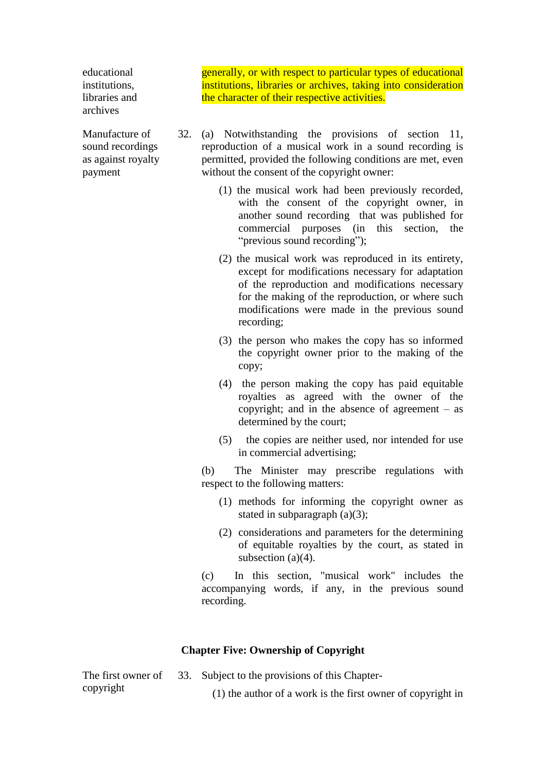educational institutions, libraries and archives

Manufacture of sound recordings as against royalty payment

generally, or with respect to particular types of educational institutions, libraries or archives, taking into consideration the character of their respective activities.

- 32. (a) Notwithstanding the provisions of section 11, reproduction of a musical work in a sound recording is permitted, provided the following conditions are met, even without the consent of the copyright owner:
	- (1) the musical work had been previously recorded, with the consent of the copyright owner, in another sound recording that was published for commercial purposes (in this section, the "previous sound recording");
	- (2) the musical work was reproduced in its entirety, except for modifications necessary for adaptation of the reproduction and modifications necessary for the making of the reproduction, or where such modifications were made in the previous sound recording;
	- (3) the person who makes the copy has so informed the copyright owner prior to the making of the copy;
	- (4) the person making the copy has paid equitable royalties as agreed with the owner of the copyright; and in the absence of agreement – as determined by the court;
	- (5) the copies are neither used, nor intended for use in commercial advertising;

(b) The Minister may prescribe regulations with respect to the following matters:

- (1) methods for informing the copyright owner as stated in subparagraph (a)(3);
- (2) considerations and parameters for the determining of equitable royalties by the court, as stated in subsection (a)(4).

(c) In this section, "musical work" includes the accompanying words, if any, in the previous sound recording.

#### **Chapter Five: Ownership of Copyright**

The first owner of copyright

33. Subject to the provisions of this Chapter-

(1) the author of a work is the first owner of copyright in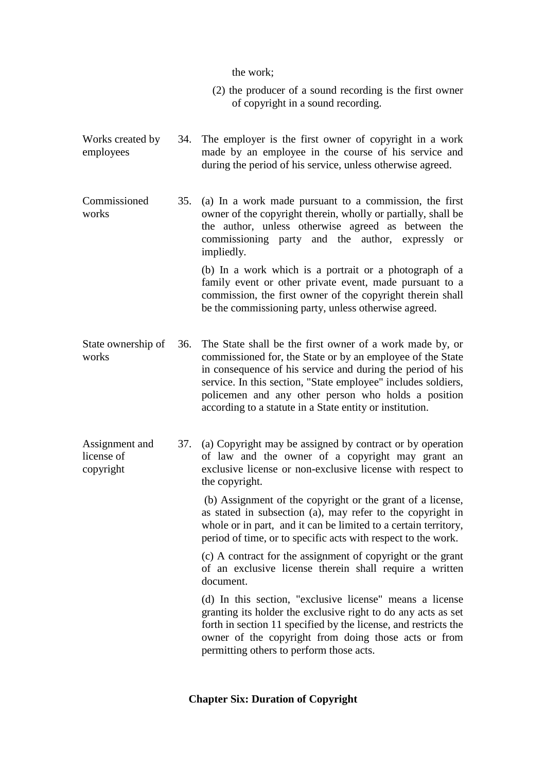the work;

- (2) the producer of a sound recording is the first owner of copyright in a sound recording.
- Works created by employees 34. The employer is the first owner of copyright in a work made by an employee in the course of his service and during the period of his service, unless otherwise agreed.
- Commissioned works 35. (a) In a work made pursuant to a commission, the first owner of the copyright therein, wholly or partially, shall be the author, unless otherwise agreed as between the commissioning party and the author, expressly or impliedly.

(b) In a work which is a portrait or a photograph of a family event or other private event, made pursuant to a commission, the first owner of the copyright therein shall be the commissioning party, unless otherwise agreed.

- State ownership of works 36. The State shall be the first owner of a work made by, or commissioned for, the State or by an employee of the State in consequence of his service and during the period of his service. In this section, "State employee" includes soldiers, policemen and any other person who holds a position according to a statute in a State entity or institution.
- Assignment and license of copyright 37. (a) Copyright may be assigned by contract or by operation of law and the owner of a copyright may grant an exclusive license or non-exclusive license with respect to the copyright.

(b) Assignment of the copyright or the grant of a license, as stated in subsection (a), may refer to the copyright in whole or in part, and it can be limited to a certain territory, period of time, or to specific acts with respect to the work.

(c) A contract for the assignment of copyright or the grant of an exclusive license therein shall require a written document.

(d) In this section, "exclusive license" means a license granting its holder the exclusive right to do any acts as set forth in section 11 specified by the license, and restricts the owner of the copyright from doing those acts or from permitting others to perform those acts.

#### **Chapter Six: Duration of Copyright**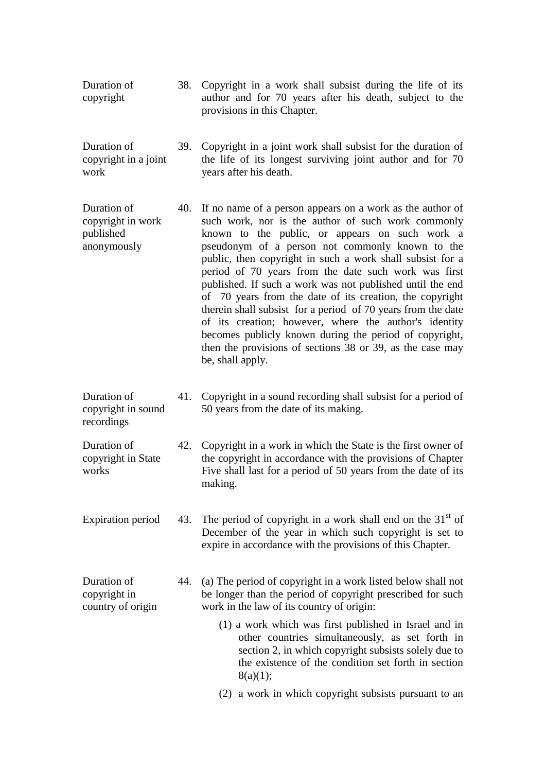- Duration of copyright 38. Copyright in a work shall subsist during the life of its author and for 70 years after his death, subject to the provisions in this Chapter.
- Duration of copyright in a joint work 39. Copyright in a joint work shall subsist for the duration of the life of its longest surviving joint author and for 70 years after his death.
- Duration of copyright in work published anonymously 40. If no name of a person appears on a work as the author of such work, nor is the author of such work commonly known to the public, or appears on such work a pseudonym of a person not commonly known to the public, then copyright in such a work shall subsist for a period of 70 years from the date such work was first published. If such a work was not published until the end of 70 years from the date of its creation, the copyright therein shall subsist for a period of 70 years from the date of its creation; however, where the author's identity becomes publicly known during the period of copyright, then the provisions of sections 38 or 39, as the case may be, shall apply.
- Duration of copyright in sound recordings 41. Copyright in a sound recording shall subsist for a period of 50 years from the date of its making.
- Duration of copyright in State works 42. Copyright in a work in which the State is the first owner of the copyright in accordance with the provisions of Chapter Five shall last for a period of 50 years from the date of its making.
- Expiration period 43. The period of copyright in a work shall end on the  $31<sup>st</sup>$  of December of the year in which such copyright is set to expire in accordance with the provisions of this Chapter.

Duration of copyright in country of origin 44. (a) The period of copyright in a work listed below shall not be longer than the period of copyright prescribed for such work in the law of its country of origin:

- (1) a work which was first published in Israel and in other countries simultaneously, as set forth in section 2, in which copyright subsists solely due to the existence of the condition set forth in section  $8(a)(1);$
- (2) a work in which copyright subsists pursuant to an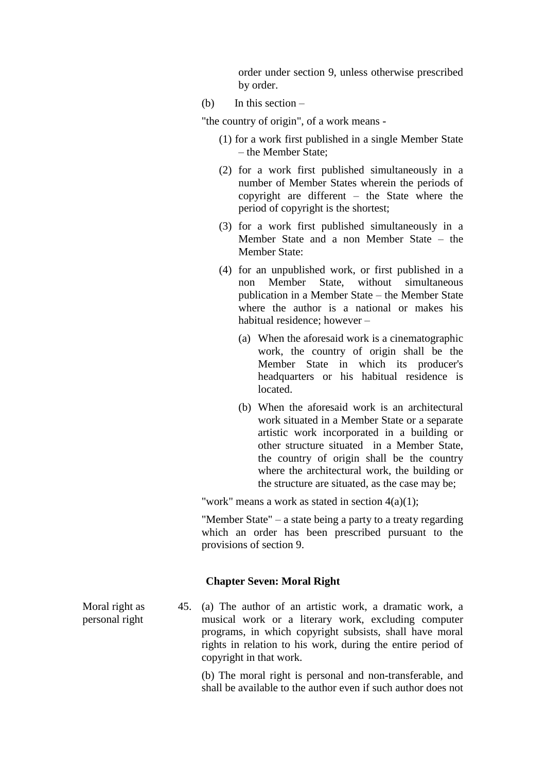order under section 9, unless otherwise prescribed by order.

(b) In this section –

"the country of origin", of a work means -

- (1) for a work first published in a single Member State – the Member State;
- (2) for a work first published simultaneously in a number of Member States wherein the periods of copyright are different – the State where the period of copyright is the shortest;
- (3) for a work first published simultaneously in a Member State and a non Member State – the Member State:
- (4) for an unpublished work, or first published in a non Member State, without simultaneous publication in a Member State – the Member State where the author is a national or makes his habitual residence; however –
	- (a) When the aforesaid work is a cinematographic work, the country of origin shall be the Member State in which its producer's headquarters or his habitual residence is located.
	- (b) When the aforesaid work is an architectural work situated in a Member State or a separate artistic work incorporated in a building or other structure situated in a Member State, the country of origin shall be the country where the architectural work, the building or the structure are situated, as the case may be;

"work" means a work as stated in section 4(a)(1);

"Member State" – a state being a party to a treaty regarding which an order has been prescribed pursuant to the provisions of section 9.

#### **Chapter Seven: Moral Right**

45. (a) The author of an artistic work, a dramatic work, a musical work or a literary work, excluding computer programs, in which copyright subsists, shall have moral rights in relation to his work, during the entire period of copyright in that work.

> (b) The moral right is personal and non-transferable, and shall be available to the author even if such author does not

Moral right as personal right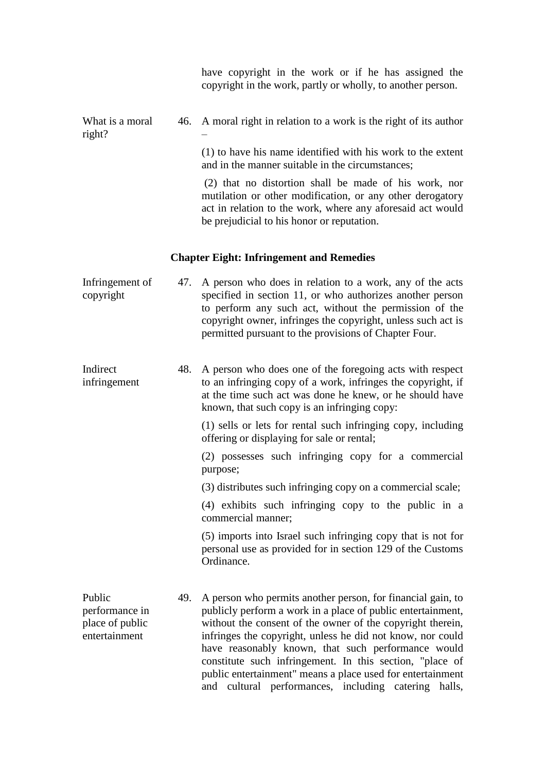|                                                              |     | have copyright in the work or if he has assigned the<br>copyright in the work, partly or wholly, to another person.                                                                                                                                                                                                                                                                                                                                                                                  |
|--------------------------------------------------------------|-----|------------------------------------------------------------------------------------------------------------------------------------------------------------------------------------------------------------------------------------------------------------------------------------------------------------------------------------------------------------------------------------------------------------------------------------------------------------------------------------------------------|
| What is a moral<br>right?                                    |     | 46. A moral right in relation to a work is the right of its author                                                                                                                                                                                                                                                                                                                                                                                                                                   |
|                                                              |     | (1) to have his name identified with his work to the extent<br>and in the manner suitable in the circumstances;                                                                                                                                                                                                                                                                                                                                                                                      |
|                                                              |     | (2) that no distortion shall be made of his work, nor<br>mutilation or other modification, or any other derogatory<br>act in relation to the work, where any aforesaid act would<br>be prejudicial to his honor or reputation.                                                                                                                                                                                                                                                                       |
|                                                              |     | <b>Chapter Eight: Infringement and Remedies</b>                                                                                                                                                                                                                                                                                                                                                                                                                                                      |
| Infringement of<br>copyright                                 |     | 47. A person who does in relation to a work, any of the acts<br>specified in section 11, or who authorizes another person<br>to perform any such act, without the permission of the<br>copyright owner, infringes the copyright, unless such act is<br>permitted pursuant to the provisions of Chapter Four.                                                                                                                                                                                         |
| Indirect<br>infringement                                     | 48. | A person who does one of the foregoing acts with respect<br>to an infringing copy of a work, infringes the copyright, if<br>at the time such act was done he knew, or he should have<br>known, that such copy is an infringing copy:                                                                                                                                                                                                                                                                 |
|                                                              |     | (1) sells or lets for rental such infringing copy, including<br>offering or displaying for sale or rental;                                                                                                                                                                                                                                                                                                                                                                                           |
|                                                              |     | (2) possesses such infringing copy for a commercial<br>purpose;                                                                                                                                                                                                                                                                                                                                                                                                                                      |
|                                                              |     | (3) distributes such infringing copy on a commercial scale;                                                                                                                                                                                                                                                                                                                                                                                                                                          |
|                                                              |     | (4) exhibits such infringing copy to the public in a<br>commercial manner;                                                                                                                                                                                                                                                                                                                                                                                                                           |
|                                                              |     | (5) imports into Israel such infringing copy that is not for<br>personal use as provided for in section 129 of the Customs<br>Ordinance.                                                                                                                                                                                                                                                                                                                                                             |
| Public<br>performance in<br>place of public<br>entertainment | 49. | A person who permits another person, for financial gain, to<br>publicly perform a work in a place of public entertainment,<br>without the consent of the owner of the copyright therein,<br>infringes the copyright, unless he did not know, nor could<br>have reasonably known, that such performance would<br>constitute such infringement. In this section, "place of<br>public entertainment" means a place used for entertainment<br>cultural performances, including catering<br>halls,<br>and |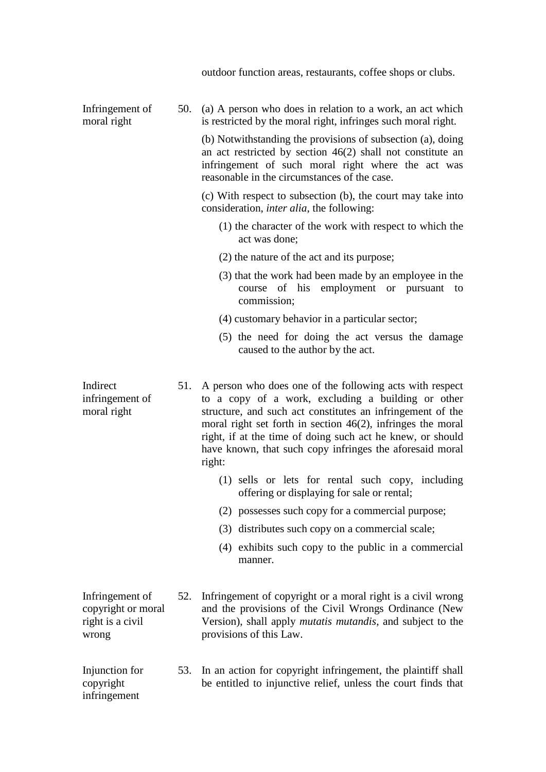|                                                                    |     | outdoor function areas, restaurants, coffee shops or clubs.                                                                                                                                                                                                                                                                                                                            |
|--------------------------------------------------------------------|-----|----------------------------------------------------------------------------------------------------------------------------------------------------------------------------------------------------------------------------------------------------------------------------------------------------------------------------------------------------------------------------------------|
| Infringement of<br>moral right                                     | 50. | (a) A person who does in relation to a work, an act which<br>is restricted by the moral right, infringes such moral right.                                                                                                                                                                                                                                                             |
|                                                                    |     | (b) Notwithstanding the provisions of subsection (a), doing<br>an act restricted by section $46(2)$ shall not constitute an<br>infringement of such moral right where the act was<br>reasonable in the circumstances of the case.                                                                                                                                                      |
|                                                                    |     | (c) With respect to subsection (b), the court may take into<br>consideration, <i>inter alia</i> , the following:                                                                                                                                                                                                                                                                       |
|                                                                    |     | (1) the character of the work with respect to which the<br>act was done;                                                                                                                                                                                                                                                                                                               |
|                                                                    |     | (2) the nature of the act and its purpose;                                                                                                                                                                                                                                                                                                                                             |
|                                                                    |     | (3) that the work had been made by an employee in the<br>course of his employment or pursuant<br>to<br>commission;                                                                                                                                                                                                                                                                     |
|                                                                    |     | (4) customary behavior in a particular sector;                                                                                                                                                                                                                                                                                                                                         |
|                                                                    |     | (5) the need for doing the act versus the damage<br>caused to the author by the act.                                                                                                                                                                                                                                                                                                   |
| Indirect<br>infringement of<br>moral right                         |     | 51. A person who does one of the following acts with respect<br>to a copy of a work, excluding a building or other<br>structure, and such act constitutes an infringement of the<br>moral right set forth in section $46(2)$ , infringes the moral<br>right, if at the time of doing such act he knew, or should<br>have known, that such copy infringes the aforesaid moral<br>right: |
|                                                                    |     | (1) sells or lets for rental such copy, including<br>offering or displaying for sale or rental;                                                                                                                                                                                                                                                                                        |
|                                                                    |     | (2) possesses such copy for a commercial purpose;                                                                                                                                                                                                                                                                                                                                      |
|                                                                    |     | (3) distributes such copy on a commercial scale;                                                                                                                                                                                                                                                                                                                                       |
|                                                                    |     | (4) exhibits such copy to the public in a commercial<br>manner.                                                                                                                                                                                                                                                                                                                        |
| Infringement of<br>copyright or moral<br>right is a civil<br>wrong | 52. | Infringement of copyright or a moral right is a civil wrong<br>and the provisions of the Civil Wrongs Ordinance (New<br>Version), shall apply <i>mutatis mutandis</i> , and subject to the<br>provisions of this Law.                                                                                                                                                                  |
| Injunction for<br>copyright<br>infringement                        | 53. | In an action for copyright infringement, the plaintiff shall<br>be entitled to injunctive relief, unless the court finds that                                                                                                                                                                                                                                                          |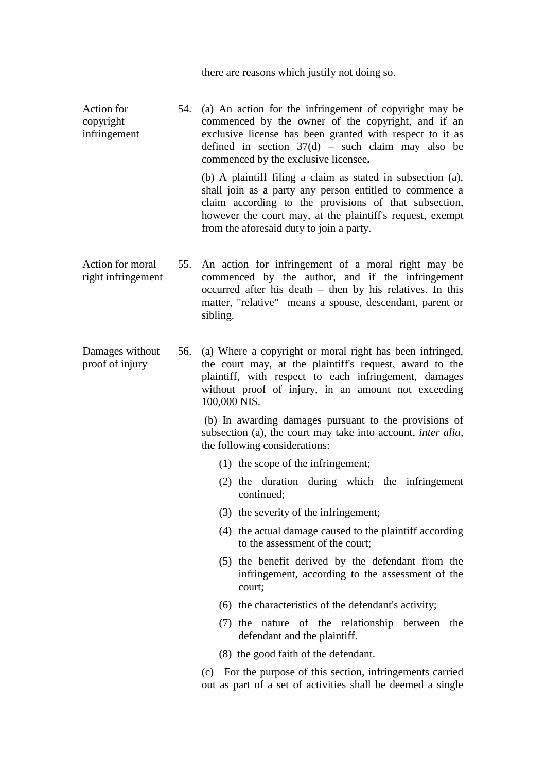there are reasons which justify not doing so.

Action for copyright infringement 54. (a) An action for the infringement of copyright may be commenced by the owner of the copyright, and if an exclusive license has been granted with respect to it as defined in section  $37(d)$  – such claim may also be commenced by the exclusive licensee**.**

(b) A plaintiff filing a claim as stated in subsection (a), shall join as a party any person entitled to commence a claim according to the provisions of that subsection, however the court may, at the plaintiff's request, exempt from the aforesaid duty to join a party.

- Action for moral right infringement 55. An action for infringement of a moral right may be commenced by the author, and if the infringement occurred after his death – then by his relatives. In this matter, "relative" means a spouse, descendant, parent or sibling.
- Damages without proof of injury 56. (a) Where a copyright or moral right has been infringed, the court may, at the plaintiff's request, award to the plaintiff, with respect to each infringement, damages without proof of injury, in an amount not exceeding 100,000 NIS.

(b) In awarding damages pursuant to the provisions of subsection (a), the court may take into account, *inter alia*, the following considerations:

- (1) the scope of the infringement;
- (2) the duration during which the infringement continued;
- (3) the severity of the infringement;
- (4) the actual damage caused to the plaintiff according to the assessment of the court;
- (5) the benefit derived by the defendant from the infringement, according to the assessment of the court;
- (6) the characteristics of the defendant's activity;
- (7) the nature of the relationship between the defendant and the plaintiff.
- (8) the good faith of the defendant.

(c) For the purpose of this section, infringements carried out as part of a set of activities shall be deemed a single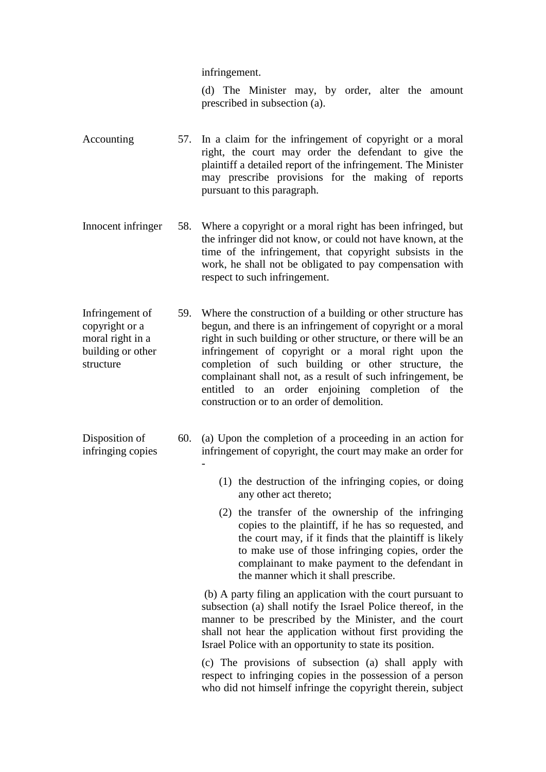infringement.

(d) The Minister may, by order, alter the amount prescribed in subsection (a).

- Accounting 57. In a claim for the infringement of copyright or a moral right, the court may order the defendant to give the plaintiff a detailed report of the infringement. The Minister may prescribe provisions for the making of reports pursuant to this paragraph.
- Innocent infringer 58. Where a copyright or a moral right has been infringed, but the infringer did not know, or could not have known, at the time of the infringement, that copyright subsists in the work, he shall not be obligated to pay compensation with respect to such infringement.
- Infringement of copyright or a moral right in a building or other structure 59. Where the construction of a building or other structure has begun, and there is an infringement of copyright or a moral right in such building or other structure, or there will be an infringement of copyright or a moral right upon the completion of such building or other structure, the complainant shall not, as a result of such infringement, be entitled to an order enjoining completion of the construction or to an order of demolition.
- Disposition of infringing copies 60. (a) Upon the completion of a proceeding in an action for infringement of copyright, the court may make an order for -
	- (1) the destruction of the infringing copies, or doing any other act thereto;
	- (2) the transfer of the ownership of the infringing copies to the plaintiff, if he has so requested, and the court may, if it finds that the plaintiff is likely to make use of those infringing copies, order the complainant to make payment to the defendant in the manner which it shall prescribe.

(b) A party filing an application with the court pursuant to subsection (a) shall notify the Israel Police thereof, in the manner to be prescribed by the Minister, and the court shall not hear the application without first providing the Israel Police with an opportunity to state its position.

(c) The provisions of subsection (a) shall apply with respect to infringing copies in the possession of a person who did not himself infringe the copyright therein, subject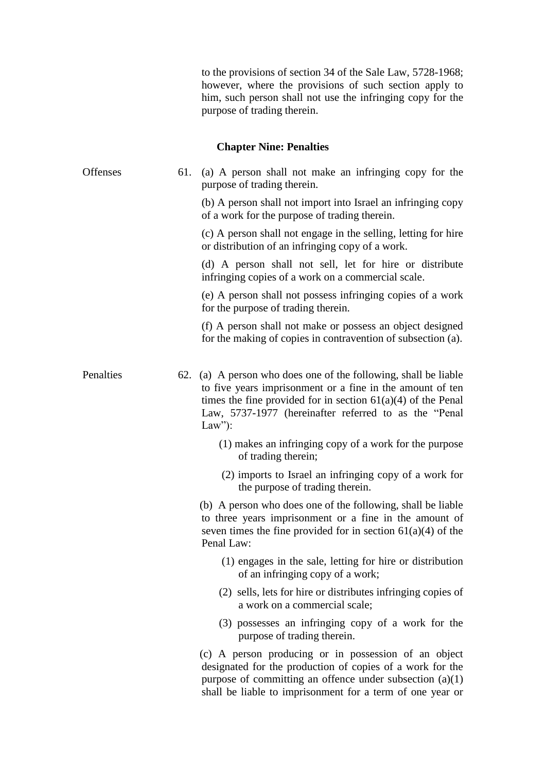to the provisions of section 34 of the Sale Law, 5728-1968; however, where the provisions of such section apply to him, such person shall not use the infringing copy for the purpose of trading therein.

# **Chapter Nine: Penalties**

| Offenses  | 61. | (a) A person shall not make an infringing copy for the<br>purpose of trading therein.                                                                                                                                                                                 |
|-----------|-----|-----------------------------------------------------------------------------------------------------------------------------------------------------------------------------------------------------------------------------------------------------------------------|
|           |     | (b) A person shall not import into Israel an infringing copy<br>of a work for the purpose of trading therein.                                                                                                                                                         |
|           |     | (c) A person shall not engage in the selling, letting for hire<br>or distribution of an infringing copy of a work.                                                                                                                                                    |
|           |     | (d) A person shall not sell, let for hire or distribute<br>infringing copies of a work on a commercial scale.                                                                                                                                                         |
|           |     | (e) A person shall not possess infringing copies of a work<br>for the purpose of trading therein.                                                                                                                                                                     |
|           |     | (f) A person shall not make or possess an object designed<br>for the making of copies in contravention of subsection (a).                                                                                                                                             |
| Penalties |     | 62. (a) A person who does one of the following, shall be liable<br>to five years imprisonment or a fine in the amount of ten<br>times the fine provided for in section $61(a)(4)$ of the Penal<br>Law, 5737-1977 (hereinafter referred to as the "Penal<br>Law" $)$ : |
|           |     | (1) makes an infringing copy of a work for the purpose<br>of trading therein;                                                                                                                                                                                         |
|           |     | (2) imports to Israel an infringing copy of a work for<br>the purpose of trading therein.                                                                                                                                                                             |
|           |     | (b) A person who does one of the following, shall be liable<br>to three years imprisonment or a fine in the amount of<br>seven times the fine provided for in section $61(a)(4)$ of the<br>Penal Law:                                                                 |
|           |     | (1) engages in the sale, letting for hire or distribution<br>of an infringing copy of a work;                                                                                                                                                                         |
|           |     | (2) sells, lets for hire or distributes infringing copies of<br>a work on a commercial scale;                                                                                                                                                                         |
|           |     | (3) possesses an infringing copy of a work for the<br>purpose of trading therein.                                                                                                                                                                                     |
|           |     | (c) A person producing or in possession of an object<br>designated for the production of copies of a work for the<br>purpose of committing an offence under subsection $(a)(1)$<br>shall be liable to imprisonment for a term of one year or                          |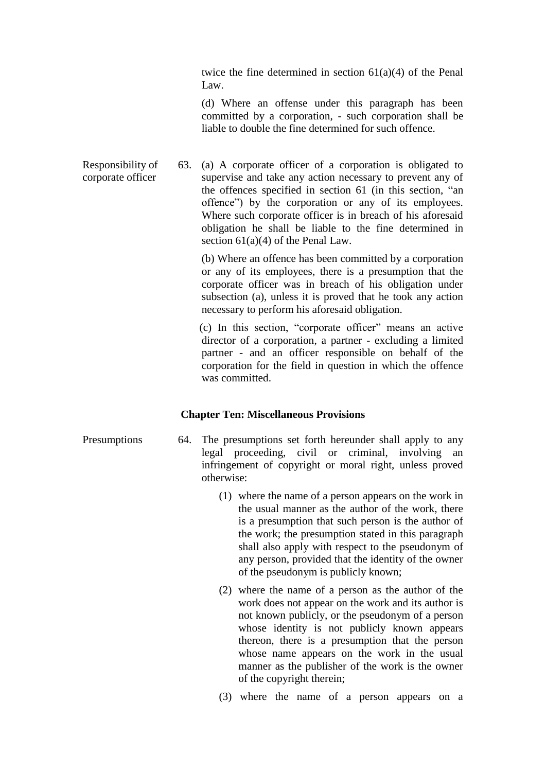twice the fine determined in section 61(a)(4) of the Penal Law.

(d) Where an offense under this paragraph has been committed by a corporation, - such corporation shall be liable to double the fine determined for such offence.

Responsibility of corporate officer 63. (a) A corporate officer of a corporation is obligated to supervise and take any action necessary to prevent any of the offences specified in section 61 (in this section, "an offence") by the corporation or any of its employees. Where such corporate officer is in breach of his aforesaid obligation he shall be liable to the fine determined in section 61(a)(4) of the Penal Law.

> (b) Where an offence has been committed by a corporation or any of its employees, there is a presumption that the corporate officer was in breach of his obligation under subsection (a), unless it is proved that he took any action necessary to perform his aforesaid obligation.

> (c) In this section, "corporate officer" means an active director of a corporation, a partner - excluding a limited partner - and an officer responsible on behalf of the corporation for the field in question in which the offence was committed.

#### **Chapter Ten: Miscellaneous Provisions**

- Presumptions 64. The presumptions set forth hereunder shall apply to any legal proceeding, civil or criminal, involving an infringement of copyright or moral right, unless proved otherwise:
	- (1) where the name of a person appears on the work in the usual manner as the author of the work, there is a presumption that such person is the author of the work; the presumption stated in this paragraph shall also apply with respect to the pseudonym of any person, provided that the identity of the owner of the pseudonym is publicly known;
	- (2) where the name of a person as the author of the work does not appear on the work and its author is not known publicly, or the pseudonym of a person whose identity is not publicly known appears thereon, there is a presumption that the person whose name appears on the work in the usual manner as the publisher of the work is the owner of the copyright therein;
	- (3) where the name of a person appears on a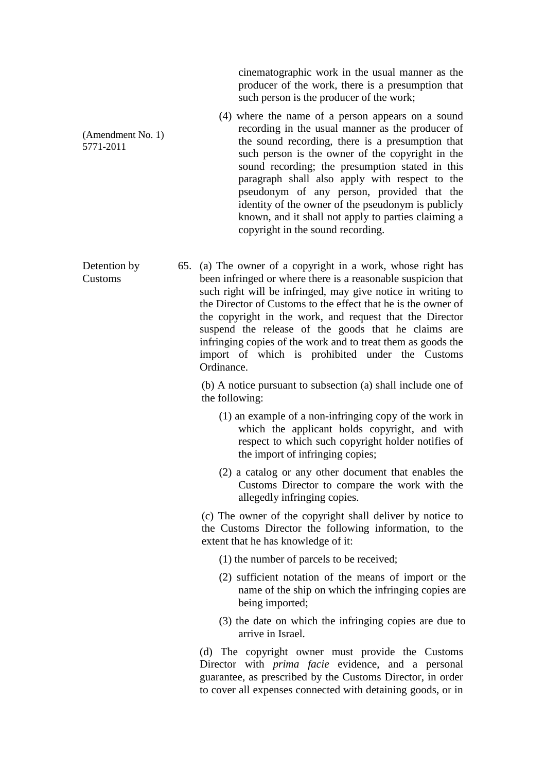cinematographic work in the usual manner as the producer of the work, there is a presumption that such person is the producer of the work;

(Amendment No. 1) 5771-2011 (4) where the name of a person appears on a sound recording in the usual manner as the producer of the sound recording, there is a presumption that such person is the owner of the copyright in the sound recording; the presumption stated in this paragraph shall also apply with respect to the pseudonym of any person, provided that the identity of the owner of the pseudonym is publicly known, and it shall not apply to parties claiming a copyright in the sound recording.

Detention by Customs 65. (a) The owner of a copyright in a work, whose right has been infringed or where there is a reasonable suspicion that such right will be infringed, may give notice in writing to the Director of Customs to the effect that he is the owner of the copyright in the work, and request that the Director suspend the release of the goods that he claims are infringing copies of the work and to treat them as goods the import of which is prohibited under the Customs Ordinance.

> (b) A notice pursuant to subsection (a) shall include one of the following:

- (1) an example of a non-infringing copy of the work in which the applicant holds copyright, and with respect to which such copyright holder notifies of the import of infringing copies;
- (2) a catalog or any other document that enables the Customs Director to compare the work with the allegedly infringing copies.

(c) The owner of the copyright shall deliver by notice to the Customs Director the following information, to the extent that he has knowledge of it:

(1) the number of parcels to be received;

- (2) sufficient notation of the means of import or the name of the ship on which the infringing copies are being imported;
- (3) the date on which the infringing copies are due to arrive in Israel.

(d) The copyright owner must provide the Customs Director with *prima facie* evidence, and a personal guarantee, as prescribed by the Customs Director, in order to cover all expenses connected with detaining goods, or in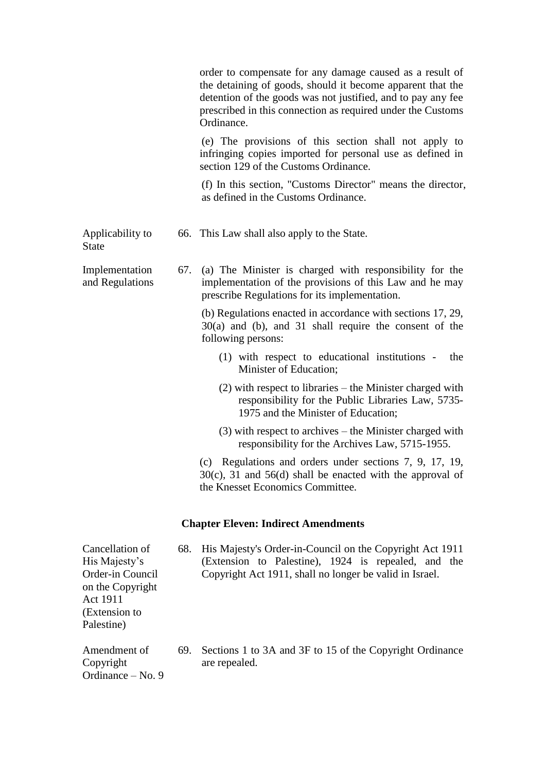order to compensate for any damage caused as a result of the detaining of goods, should it become apparent that the detention of the goods was not justified, and to pay any fee prescribed in this connection as required under the Customs Ordinance. (e) The provisions of this section shall not apply to infringing copies imported for personal use as defined in section 129 of the Customs Ordinance. (f) In this section, "Customs Director" means the director, as defined in the Customs Ordinance. Applicability to State 66. This Law shall also apply to the State. Implementation and Regulations 67. (a) The Minister is charged with responsibility for the implementation of the provisions of this Law and he may prescribe Regulations for its implementation. (b) Regulations enacted in accordance with sections 17, 29, 30(a) and (b), and 31 shall require the consent of the following persons: (1) with respect to educational institutions - the Minister of Education; (2) with respect to libraries – the Minister charged with responsibility for the Public Libraries Law, 5735- 1975 and the Minister of Education; (3) with respect to archives – the Minister charged with responsibility for the Archives Law, 5715-1955. (c) Regulations and orders under sections 7, 9, 17, 19, 30(c), 31 and 56(d) shall be enacted with the approval of the Knesset Economics Committee. **Chapter Eleven: Indirect Amendments** Cancellation of His Majesty's Order-in Council on the Copyright Act 1911 (Extension to Palestine) 68. His Majesty's Order-in-Council on the Copyright Act 1911 (Extension to Palestine), 1924 is repealed, and the Copyright Act 1911, shall no longer be valid in Israel. Amendment of Copyright Ordinance – No. 9 69. Sections 1 to 3A and 3F to 15 of the Copyright Ordinance are repealed.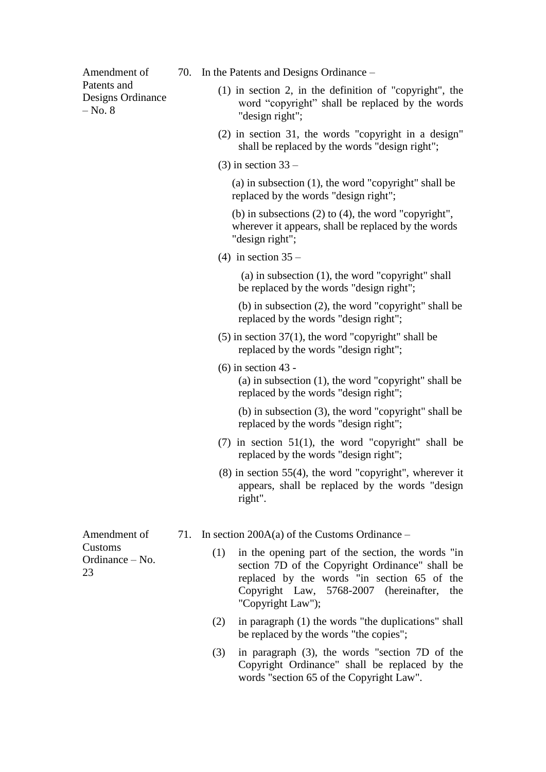Amendment of Patents and Designs Ordinance – No. 8

- 70. In the Patents and Designs Ordinance
	- (1) in section 2, in the definition of "copyright", the word "copyright" shall be replaced by the words "design right";
	- (2) in section 31, the words "copyright in a design" shall be replaced by the words "design right";
	- $(3)$  in section  $33 -$

(a) in subsection (1), the word "copyright" shall be replaced by the words "design right";

(b) in subsections (2) to (4), the word "copyright", wherever it appears, shall be replaced by the words "design right";

(4) in section  $35 -$ 

(a) in subsection (1), the word "copyright" shall be replaced by the words "design right";

(b) in subsection (2), the word "copyright" shall be replaced by the words "design right";

- (5) in section 37(1), the word "copyright" shall be replaced by the words "design right";
- (6) in section 43 -

(a) in subsection (1), the word "copyright" shall be replaced by the words "design right";

(b) in subsection (3), the word "copyright" shall be replaced by the words "design right";

- (7) in section 51(1), the word "copyright" shall be replaced by the words "design right";
- (8) in section 55(4), the word "copyright", wherever it appears, shall be replaced by the words "design right".
- 71. In section  $200A(a)$  of the Customs Ordinance
	- (1) in the opening part of the section, the words "in section 7D of the Copyright Ordinance" shall be replaced by the words "in section 65 of the Copyright Law, 5768-2007 (hereinafter, the "Copyright Law");
	- (2) in paragraph (1) the words "the duplications" shall be replaced by the words "the copies";
	- (3) in paragraph (3), the words "section 7D of the Copyright Ordinance" shall be replaced by the words "section 65 of the Copyright Law".

Amendment of Customs Ordinance – No. 23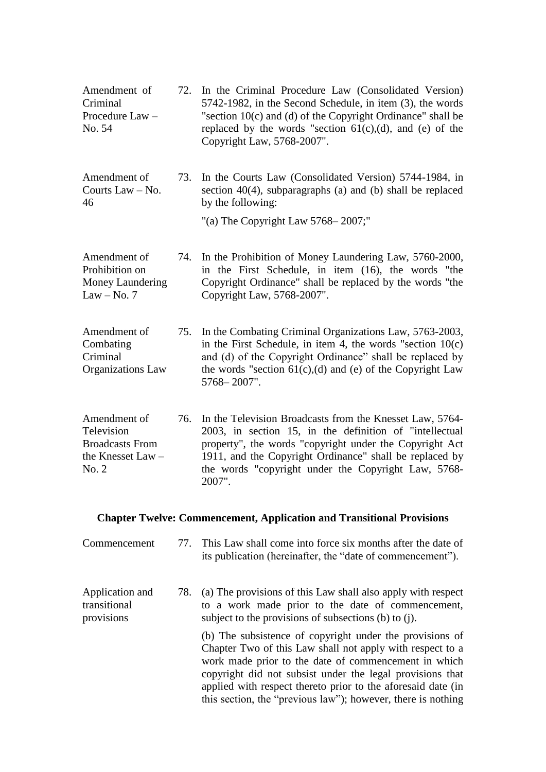| Amendment of<br>Criminal<br>Procedure Law -<br>No. 54                              | 72. | In the Criminal Procedure Law (Consolidated Version)<br>5742-1982, in the Second Schedule, in item (3), the words<br>"section $10(c)$ and (d) of the Copyright Ordinance" shall be<br>replaced by the words "section $61(c)$ , (d), and (e) of the<br>Copyright Law, 5768-2007".                            |
|------------------------------------------------------------------------------------|-----|-------------------------------------------------------------------------------------------------------------------------------------------------------------------------------------------------------------------------------------------------------------------------------------------------------------|
| Amendment of<br>Courts Law $-$ No.<br>46                                           | 73. | In the Courts Law (Consolidated Version) 5744-1984, in<br>section $40(4)$ , subparagraphs (a) and (b) shall be replaced<br>by the following:<br>"(a) The Copyright Law $5768 - 2007$ ;"                                                                                                                     |
| Amendment of<br>Prohibition on<br>Money Laundering<br>$Law - No. 7$                | 74. | In the Prohibition of Money Laundering Law, 5760-2000,<br>in the First Schedule, in item (16), the words "the<br>Copyright Ordinance" shall be replaced by the words "the<br>Copyright Law, 5768-2007".                                                                                                     |
| Amendment of<br>Combating<br>Criminal<br>Organizations Law                         | 75. | In the Combating Criminal Organizations Law, 5763-2003,<br>in the First Schedule, in item 4, the words "section $10(c)$<br>and (d) of the Copyright Ordinance" shall be replaced by<br>the words "section $61(c)$ , (d) and (e) of the Copyright Law<br>5768-2007".                                         |
| Amendment of<br>Television<br><b>Broadcasts From</b><br>the Knesset Law -<br>No. 2 | 76. | In the Television Broadcasts from the Knesset Law, 5764-<br>2003, in section 15, in the definition of "intellectual"<br>property", the words "copyright under the Copyright Act<br>1911, and the Copyright Ordinance" shall be replaced by<br>the words "copyright under the Copyright Law, 5768-<br>2007". |

# **Chapter Twelve: Commencement, Application and Transitional Provisions**

| Commencement                                  | 77. | This Law shall come into force six months after the date of<br>its publication (hereinafter, the "date of commencement").                                                                                                                                                                                                                                                  |
|-----------------------------------------------|-----|----------------------------------------------------------------------------------------------------------------------------------------------------------------------------------------------------------------------------------------------------------------------------------------------------------------------------------------------------------------------------|
| Application and<br>transitional<br>provisions | 78. | (a) The provisions of this Law shall also apply with respect<br>to a work made prior to the date of commencement,<br>subject to the provisions of subsections (b) to (j).                                                                                                                                                                                                  |
|                                               |     | (b) The subsistence of copyright under the provisions of<br>Chapter Two of this Law shall not apply with respect to a<br>work made prior to the date of commencement in which<br>copyright did not subsist under the legal provisions that<br>applied with respect thereto prior to the aforesaid date (in<br>this section, the "previous law"); however, there is nothing |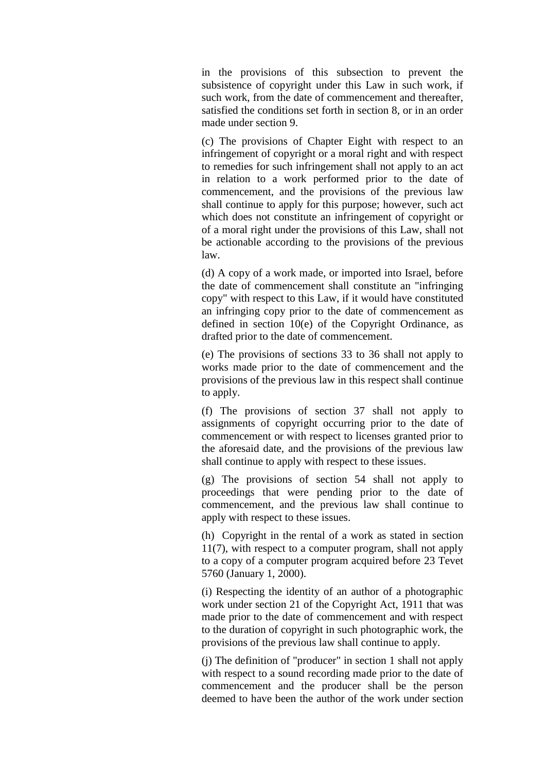in the provisions of this subsection to prevent the subsistence of copyright under this Law in such work, if such work, from the date of commencement and thereafter, satisfied the conditions set forth in section 8, or in an order made under section 9.

(c) The provisions of Chapter Eight with respect to an infringement of copyright or a moral right and with respect to remedies for such infringement shall not apply to an act in relation to a work performed prior to the date of commencement, and the provisions of the previous law shall continue to apply for this purpose; however, such act which does not constitute an infringement of copyright or of a moral right under the provisions of this Law, shall not be actionable according to the provisions of the previous law.

(d) A copy of a work made, or imported into Israel, before the date of commencement shall constitute an "infringing copy" with respect to this Law, if it would have constituted an infringing copy prior to the date of commencement as defined in section 10(e) of the Copyright Ordinance, as drafted prior to the date of commencement.

(e) The provisions of sections 33 to 36 shall not apply to works made prior to the date of commencement and the provisions of the previous law in this respect shall continue to apply.

(f) The provisions of section 37 shall not apply to assignments of copyright occurring prior to the date of commencement or with respect to licenses granted prior to the aforesaid date, and the provisions of the previous law shall continue to apply with respect to these issues.

(g) The provisions of section 54 shall not apply to proceedings that were pending prior to the date of commencement, and the previous law shall continue to apply with respect to these issues.

(h) Copyright in the rental of a work as stated in section 11(7), with respect to a computer program, shall not apply to a copy of a computer program acquired before 23 Tevet 5760 (January 1, 2000).

(i) Respecting the identity of an author of a photographic work under section 21 of the Copyright Act, 1911 that was made prior to the date of commencement and with respect to the duration of copyright in such photographic work, the provisions of the previous law shall continue to apply.

(j) The definition of "producer" in section 1 shall not apply with respect to a sound recording made prior to the date of commencement and the producer shall be the person deemed to have been the author of the work under section